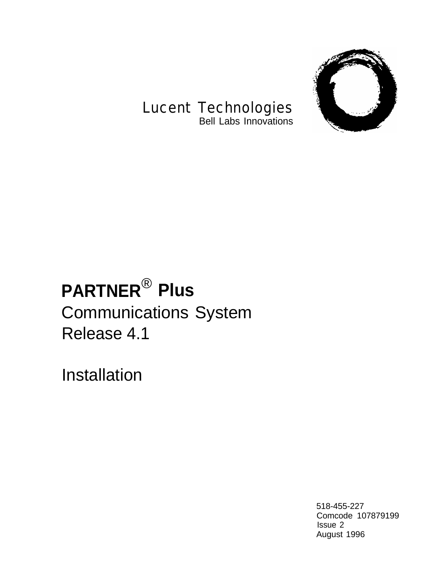

# Lucent Technologies

Bell Labs Innovations

# **PARTNER**® **Plus** Communications System Release 4.1

Installation

518-455-227 Comcode 107879199 Issue 2 August 1996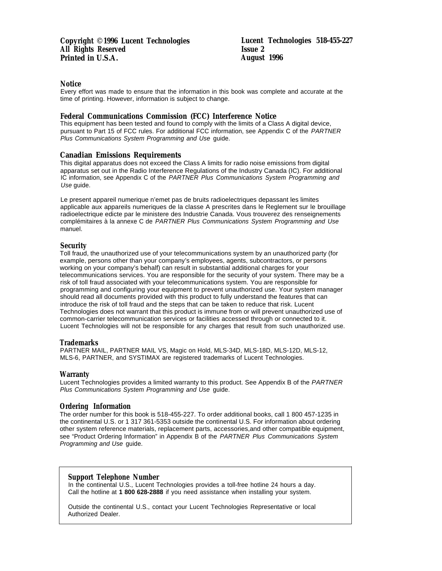#### **Notice**

Every effort was made to ensure that the information in this book was complete and accurate at the time of printing. However, information is subject to change.

#### **Federal Communications Commission (FCC) Interference Notice**

This equipment has been tested and found to comply with the limits of a Class A digital device, pursuant to Part 15 of FCC rules. For additional FCC information, see Appendix C of the PARTNER Plus Communications System Programming and Use guide.

#### **Canadian Emissions Requirements**

This digital apparatus does not exceed the Class A limits for radio noise emissions from digital apparatus set out in the Radio Interference Regulations of the Industry Canada (IC). For additional IC information, see Appendix C of the PARTNER Plus Communications System Programming and Use guide.

Le present appareil numerique n'emet pas de bruits radioelectriques depassant les limites applicable aux appareils numeriques de la classe A prescrites dans le Reglement sur le brouillage radioelectrique edicte par le ministere des Industrie Canada. Vous trouverez des renseignements complémitaires à la annexe C de PARTNER Plus Communications System Programming and Use manuel.

#### **Security**

Toll fraud, the unauthorized use of your telecommunications system by an unauthorized party (for example, persons other than your company's employees, agents, subcontractors, or persons working on your company's behalf) can result in substantial additional charges for your telecommunications services. You are responsible for the security of your system. There may be a risk of toll fraud associated with your telecommunications system. You are responsible for programming and configuring your equipment to prevent unauthorized use. Your system manager should read all documents provided with this product to fully understand the features that can introduce the risk of toll fraud and the steps that can be taken to reduce that risk. Lucent Technologies does not warrant that this product is immune from or will prevent unauthorized use of common-carrier telecommunication services or facilities accessed through or connected to it. Lucent Technologies will not be responsible for any charges that result from such unauthorized use.

#### **Trademarks**

PARTNER MAIL, PARTNER MAIL VS, Magic on Hold, MLS-34D, MLS-18D, MLS-12D, MLS-12, MLS-6, PARTNER, and SYSTIMAX are registered trademarks of Lucent Technologies.

#### **Warranty**

Lucent Technologies provides a limited warranty to this product. See Appendix B of the PARTNER Plus Communications System Programming and Use guide.

#### **Ordering Information**

The order number for this book is 518-455-227. To order additional books, call 1 800 457-1235 in the continental U.S. or 1 317 361-5353 outside the continental U.S. For information about ordering other system reference materials, replacement parts, accessories,and other compatible equipment, see "Product Ordering Information" in Appendix B of the PARTNER Plus Communications System Programming and Use guide.

#### **Support Telephone Number**

In the continental U.S., Lucent Technologies provides a toll-free hotline 24 hours a day. Call the hotline at **1 800 628-2888** if you need assistance when installing your system.

Outside the continental U.S., contact your Lucent Technologies Representative or local Authorized Dealer.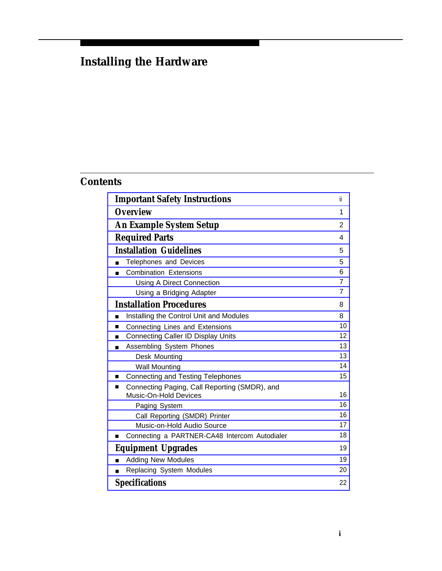# **Installing the Hardware**

# **Contents**

| <b>Important Safety Instructions</b><br>ï                                   |                |  |  |  |
|-----------------------------------------------------------------------------|----------------|--|--|--|
| <b>Overview</b>                                                             | 1              |  |  |  |
| <b>An Example System Setup</b>                                              |                |  |  |  |
| <b>Required Parts</b>                                                       |                |  |  |  |
| <b>Installation Guidelines</b>                                              | 5              |  |  |  |
| Telephones and Devices                                                      | 5              |  |  |  |
| <b>Combination Extensions</b>                                               | 6              |  |  |  |
| <b>Using A Direct Connection</b>                                            | $\overline{7}$ |  |  |  |
| Using a Bridging Adapter                                                    | 7              |  |  |  |
| <b>Installation Procedures</b>                                              | 8              |  |  |  |
| Installing the Control Unit and Modules                                     | 8              |  |  |  |
| Connecting Lines and Extensions<br>п                                        | 10             |  |  |  |
| <b>Connecting Caller ID Display Units</b><br>п                              | 12             |  |  |  |
| Assembling System Phones<br>п                                               | 13             |  |  |  |
| Desk Mounting                                                               | 13             |  |  |  |
| <b>Wall Mounting</b>                                                        | 14             |  |  |  |
| <b>Connecting and Testing Telephones</b><br>■                               | 15             |  |  |  |
| Connecting Paging, Call Reporting (SMDR), and<br>■<br>Music-On-Hold Devices | 16             |  |  |  |
| Paging System                                                               | 16             |  |  |  |
| Call Reporting (SMDR) Printer                                               | 16             |  |  |  |
| Music-on-Hold Audio Source                                                  | 17             |  |  |  |
| Connecting a PARTNER-CA48 Intercom Autodialer                               | 18             |  |  |  |
|                                                                             | 19             |  |  |  |
| <b>Equipment Upgrades</b>                                                   |                |  |  |  |
| <b>Adding New Modules</b>                                                   | 19             |  |  |  |
| Replacing System Modules                                                    | 20             |  |  |  |
| <b>Specifications</b>                                                       | 22             |  |  |  |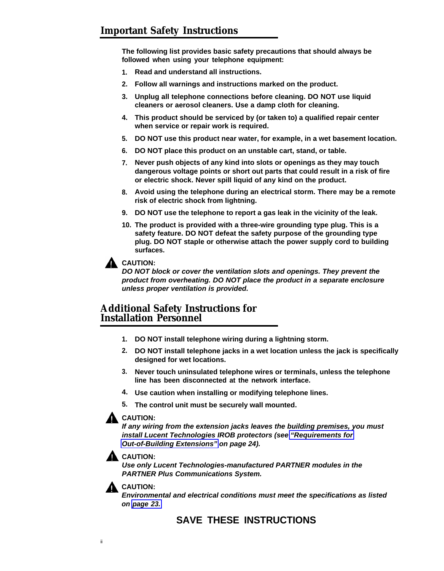<span id="page-3-1"></span><span id="page-3-0"></span>**The following list provides basic safety precautions that should always be followed when using your telephone equipment:**

- **1. Read and understand all instructions.**
- **2. Follow all warnings and instructions marked on the product.**
- **3. Unplug all telephone connections before cleaning. DO NOT use liquid cleaners or aerosol cleaners. Use a damp cloth for cleaning.**
- **4. This product should be serviced by (or taken to) a qualified repair center when service or repair work is required.**
- **5. DO NOT use this product near water, for example, in a wet basement location.**
- **6. DO NOT place this product on an unstable cart, stand, or table.**
- **7. Never push objects of any kind into slots or openings as they may touch dangerous voltage points or short out parts that could result in a risk of fire or electric shock. Never spill liquid of any kind on the product.**
- **8. Avoid using the telephone during an electrical storm. There may be a remote risk of electric shock from lightning.**
- **9. DO NOT use the telephone to report a gas leak in the vicinity of the leak.**
- **10. The product is provided with a three-wire grounding type plug. This is a safety feature. DO NOT defeat the safety purpose of the grounding type plug. DO NOT staple or otherwise attach the power supply cord to building surfaces.**

## **A** CAUTION:

**DO NOT block or cover the ventilation slots and openings. They prevent the product from overheating. DO NOT place the product in a separate enclosure unless proper ventilation is provided.**

# **Additional Safety Instructions for Installation Personnel**

- **1. DO NOT install telephone wiring during a lightning storm.**
- **2. DO NOT install telephone jacks in a wet location unless the jack is specifically designed for wet locations.**
- **3. Never touch uninsulated telephone wires or terminals, unless the telephone line has been disconnected at the network interface.**
- **4. Use caution when installing or modifying telephone lines.**
- **5. The control unit must be securely wall mounted.**

#### **CAUTION:**

**If any wiring from the extension jacks leaves the building premises, you must install Lucent Technologies IROB protectors (see ["Requirements for](#page-27-0) [Out-of-Building Extensions"](#page-27-0) on page 24).**

#### **CAUTION:**

**Use only Lucent Technologies-manufactured PARTNER modules in the PARTNER Plus Communications System.**



**Environmental and electrical conditions must meet the specifications as listed on [page 23.](#page-26-0)**

# **SAVE THESE INSTRUCTIONS**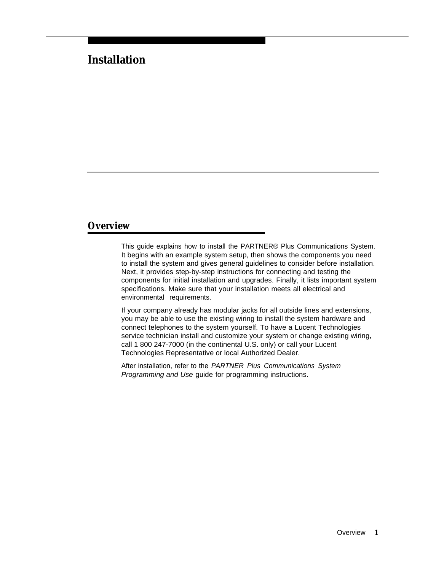# **Installation**

# <span id="page-4-0"></span>**Overview**

This guide explains how to install the PARTNER® Plus Communications System. It begins with an example system setup, then shows the components you need to install the system and gives general guidelines to consider before installation. Next, it provides step-by-step instructions for connecting and testing the components for initial installation and upgrades. Finally, it lists important system specifications. Make sure that your installation meets all electrical and environmental requirements.

If your company already has modular jacks for all outside lines and extensions, you may be able to use the existing wiring to install the system hardware and connect telephones to the system yourself. To have a Lucent Technologies service technician install and customize your system or change existing wiring, call 1 800 247-7000 (in the continental U.S. only) or call your Lucent Technologies Representative or local Authorized Dealer.

After installation, refer to the PARTNER Plus Communications System Programming and Use guide for programming instructions.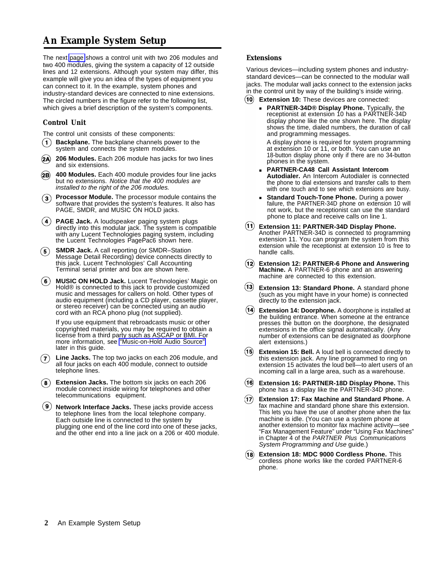# <span id="page-5-0"></span>**An Example System Setup**

The next [page](#page-6-0) shows a control unit with two 206 modules and two 400 modules, giving the system a capacity of 12 outside lines and 12 extensions. Although your system may differ, this example will give you an idea of the types of equipment you can connect to it. In the example, system phones and industry-standard devices are connected to nine extensions. The circled numbers in the figure refer to the following list, which gives a brief description of the system's components.

#### **Control Unit**

The control unit consists of these components:

- **Backplane.** The backplane channels power to the system and connects the system modules.
- **206 Modules.** Each 206 module has jacks for two lines  $(2A)$ and six extensions.
- **400 Modules.** Each 400 module provides four line jacks  $(2B)$ but no extensions. Notice that the 400 modules are installed to the right of the 206 modules.
- **Processor Module.** The processor module contains the software that provides the system's features. It also has PAGE, SMDR, and MUSIC ON HOLD jacks.
- **PAGE Jack.** A loudspeaker paging system plugs directly into this modular jack. The system is compatible with any Lucent Technologies paging system, including the Lucent Technologies PagePac6 shown here.
- **SMDR Jack.** A call reporting (or SMDR–Station (5) Message Detail Recording) device connects directly to this jack. Lucent Technologies' Call Accounting Terminal serial printer and box are shown here.
- **MUSIC ON HOLD Jack.** Lucent Technologies' Magic on Hold® is connected to this jack to provide customized music and messages for callers on hold. Other types of audio equipment (including a CD player, cassette player, or stereo receiver) can be connected using an audio cord with an RCA phono plug (not supplied).

If you use equipment that rebroadcasts music or other copyrighted materials, you may be required to obtain a license from a third party such as ASCAP or BMI. For more information, see ["Music-on-Hold Audio Source"](#page-20-1) later in this guide.

- **Line Jacks.** The top two jacks on each 206 module, and all four jacks on each 400 module, connect to outside telephone lines.
- **Extension Jacks.** The bottom six jacks on each 206 module connect inside wiring for telephones and other telecommunications equipment.
- **Network Interface Jacks.** These jacks provide access to telephone lines from the local telephone company. Each outside line is connected to the system by plugging one end of the line cord into one of these jacks, and the other end into a line jack on a 206 or 400 module.

#### **Extensions**

Various devices—including system phones and industrystandard devices—can be connected to the modular wall jacks. The modular wall jacks connect to the extension jacks in the control unit by way of the building's inside wiring.

- **Extension 10:** These devices are connected:
	- **PARTNER-34D® Display Phone.** Typically, the receptionist at extension 10 has a PARTNER-34D display phone like the one shown here. The display shows the time, dialed numbers, the duration of call and programming messages.

A display phone is required for system programming at extension 10 or 11, or both. You can use an 18-button display phone only if there are no 34-button phones in the system.

- **PARTNER-CA48 Call Assistant Intercom Autodialer.** An Intercom Autodialer is connected the phone to dial extensions and transfer calls to them with one touch and to see which extensions are busy.
- **Standard Touch-Tone Phone.** During a power failure, the PARTNER-34D phone on extension 10 will not work, but the receptionist can use the standard phone to place and receive calls on line 1.
- **Extension 11: PARTNER-34D Display Phone.** Another PARTNER-34D is connected to programming extension 11. You can program the system from this extension while the receptionist at extension 10 is free to handle calls.
- **Extension 12: PARTNER-6 Phone and Answering Machine.** A PARTNER-6 phone and an answering machine are connected to this extension.
- **Extension 13: Standard Phone.** A standard phone (such as you might have in your home) is connected directly to the extension jack.
- **Extension 14: Doorphone.** A doorphone is installed at the building entrance. When someone at the entrance presses the button on the doorphone, the designated extensions in the office signal automatically. (Any number of extensions can be designated as doorphone alert extensions.)
- **Extension 15: Bell.** A loud bell is connected directly to this extension jack. Any line programmed to ring on extension 15 activates the loud bell—to alert users of an incoming call in a large area, such as a warehouse.
- **Extension 16: PARTNER-18D Display Phone.** This phone has a display like the PARTNER-34D phone.
- $(17)$ **Extension 17: Fax Machine and Standard Phone.** A fax machine and standard phone share this extension. This lets you have the use of another phone when the fax machine is idle. (You can use a system phone at another extension to monitor fax machine activity—see "Fax Management Feature" under "Using Fax Machines" in Chapter 4 of the PARTNER Plus Communications System Programming and Use guide.)
- **Extension 18: MDC 9000 Cordless Phone.** This cordless phone works like the corded PARTNER-6 phone.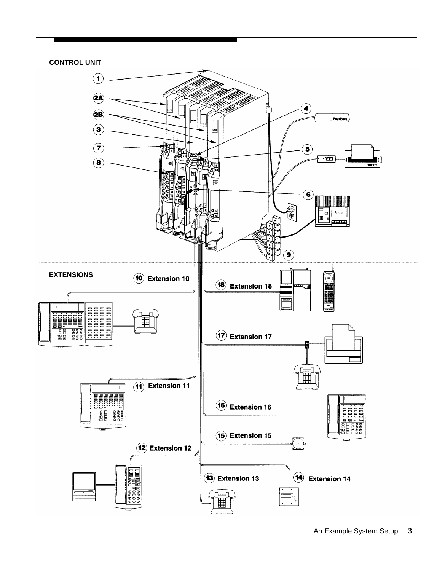<span id="page-6-0"></span>

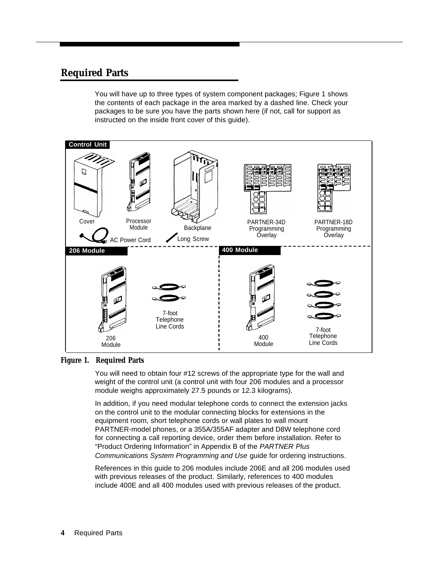# <span id="page-7-0"></span>**Required Parts**

You will have up to three types of system component packages; Figure 1 shows the contents of each package in the area marked by a dashed line. Check your packages to be sure you have the parts shown here (if not, call for support as instructed on the inside front cover of this guide).



#### **Figure 1. Required Parts**

You will need to obtain four #12 screws of the appropriate type for the wall and weight of the control unit (a control unit with four 206 modules and a processor module weighs approximately 27.5 pounds or 12.3 kilograms).

In addition, if you need modular telephone cords to connect the extension jacks on the control unit to the modular connecting blocks for extensions in the equipment room, short telephone cords or wall plates to wall mount PARTNER-model phones, or a 355A/355AF adapter and D8W telephone cord for connecting a call reporting device, order them before installation. Refer to "Product Ordering Information" in Appendix B of the PARTNER Plus Communications System Programming and Use guide for ordering instructions.

References in this guide to 206 modules include 206E and all 206 modules used with previous releases of the product. Similarly, references to 400 modules include 400E and all 400 modules used with previous releases of the product.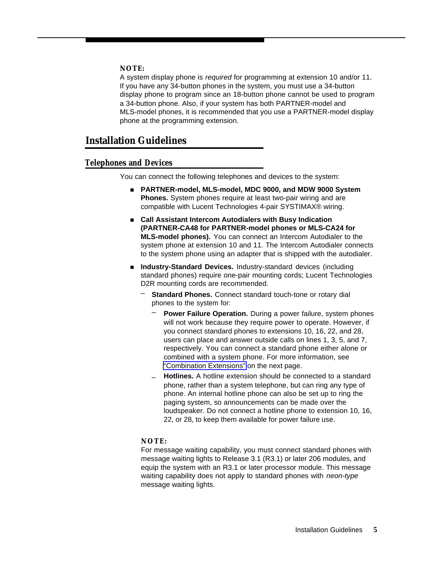#### **NOTE:**

A system display phone is required for programming at extension 10 and/or 11. If you have any 34-button phones in the system, you must use a 34-button display phone to program since an 18-button phone cannot be used to program a 34-button phone. Also, if your system has both PARTNER-model and MLS-model phones, it is recommended that you use a PARTNER-model display phone at the programming extension.

# <span id="page-8-0"></span>**Installation Guidelines**

#### <span id="page-8-1"></span>**Telephones and Devices**

You can connect the following telephones and devices to the system:

- **PARTNER-model, MLS-model, MDC 9000, and MDW 9000 System Phones.** System phones require at least two-pair wiring and are compatible with Lucent Technologies 4-pair SYSTIMAX® wiring.
- Call Assistant Intercom Autodialers with Busy Indication **(PARTNER-CA48 for PARTNER-model phones or MLS-CA24 for MLS-model phones).** You can connect an Intercom Autodialer to the system phone at extension 10 and 11. The Intercom Autodialer connects to the system phone using an adapter that is shipped with the autodialer.
- **Industry-Standard Devices.** Industry-standard devices (including standard phones) require one-pair mounting cords; Lucent Technologies D2R mounting cords are recommended.
	- **Standard Phones.** Connect standard touch-tone or rotary dial phones to the system for:
		- **Power Failure Operation.** During a power failure, system phones will not work because they require power to operate. However, if you connect standard phones to extensions 10, 16, 22, and 28, users can place and answer outside calls on lines 1, 3, 5, and 7, respectively. You can connect a standard phone either alone or combined with a system phone. For more information, see ["Combination Extensions"](#page-9-1) on the next page.
		- **Hotlines.** A hotline extension should be connected to a standard phone, rather than a system telephone, but can ring any type of phone. An internal hotline phone can also be set up to ring the paging system, so announcements can be made over the loudspeaker. Do not connect a hotline phone to extension 10, 16, 22, or 28, to keep them available for power failure use.

#### **NOTE:**

For message waiting capability, you must connect standard phones with message waiting lights to Release 3.1 (R3.1) or later 206 modules, and equip the system with an R3.1 or later processor module. This message waiting capability does not apply to standard phones with neon-type message waiting lights.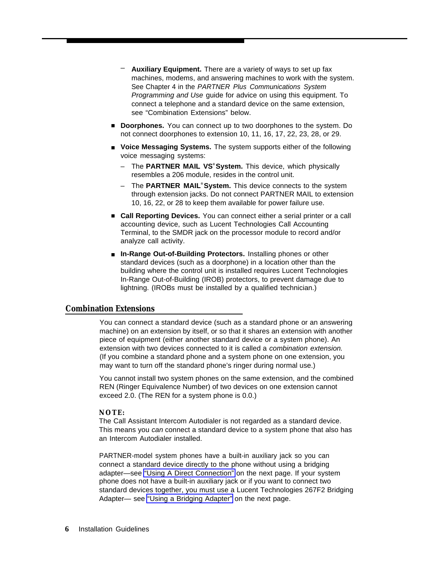- **Auxiliary Equipment.** There are a variety of ways to set up fax machines, modems, and answering machines to work with the system. See Chapter 4 in the PARTNER Plus Communications System Programming and Use guide for advice on using this equipment. To connect a telephone and a standard device on the same extension, see "Combination Extensions" below.
- **Doorphones.** You can connect up to two doorphones to the system. Do not connect doorphones to extension 10, 11, 16, 17, 22, 23, 28, or 29.
- Voice Messaging Systems. The system supports either of the following voice messaging systems:
	- The **PARTNER MAIL VS® System.** This device, which physically resembles a 206 module, resides in the control unit.
	- The **PARTNER MAIL® System.** This device connects to the system through extension jacks. Do not connect PARTNER MAIL to extension 10, 16, 22, or 28 to keep them available for power failure use.
- <span id="page-9-0"></span>■ **Call Reporting Devices.** You can connect either a serial printer or a call accounting device, such as Lucent Technologies Call Accounting Terminal, to the SMDR jack on the processor module to record and/or analyze call activity.
- In-Range Out-of-Building Protectors. Installing phones or other standard devices (such as a doorphone) in a location other than the building where the control unit is installed requires Lucent Technologies In-Range Out-of-Building (IROB) protectors, to prevent damage due to lightning. (IROBs must be installed by a qualified technician.)

#### <span id="page-9-1"></span>**Combination Extensions**

You can connect a standard device (such as a standard phone or an answering machine) on an extension by itself, or so that it shares an extension with another piece of equipment (either another standard device or a system phone). An extension with two devices connected to it is called a combination extension. (If you combine a standard phone and a system phone on one extension, you may want to turn off the standard phone's ringer during normal use.)

You cannot install two system phones on the same extension, and the combined REN (Ringer Equivalence Number) of two devices on one extension cannot exceed 2.0. (The REN for a system phone is 0.0.)

#### **NOTE:**

The Call Assistant Intercom Autodialer is not regarded as a standard device. This means you can connect a standard device to a system phone that also has an Intercom Autodialer installed.

PARTNER-model system phones have a built-in auxiliary jack so you can connect a standard device directly to the phone without using a bridging adapter—see ["Using A Direct Connection"](#page-10-2) on the next page. If your system phone does not have a built-in auxiliary jack or if you want to connect two standard devices together, you must use a Lucent Technologies 267F2 Bridging Adapter— see ["Using a Bridging Adapter"](#page-10-3) on the next page.

**6** Installation Guidelines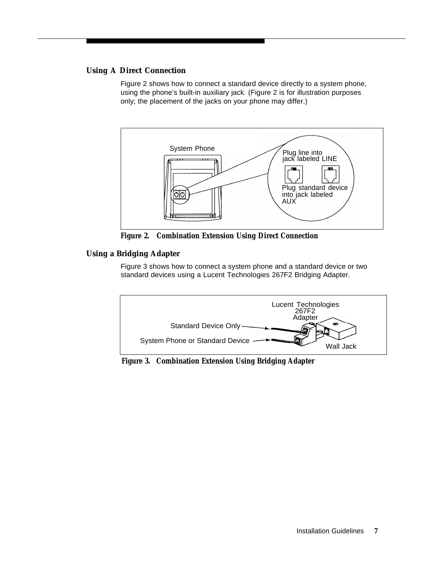### <span id="page-10-2"></span><span id="page-10-0"></span>**Using A Direct Connection**

Figure 2 shows how to connect a standard device directly to a system phone, using the phone's built-in auxiliary jack. (Figure 2 is for illustration purposes only; the placement of the jacks on your phone may differ.)



**Figure 2. Combination Extension Using Direct Connection**

### <span id="page-10-3"></span><span id="page-10-1"></span>**Using a Bridging Adapter**

Figure 3 shows how to connect a system phone and a standard device or two standard devices using a Lucent Technologies 267F2 Bridging Adapter.



**Figure 3. Combination Extension Using Bridging Adapter**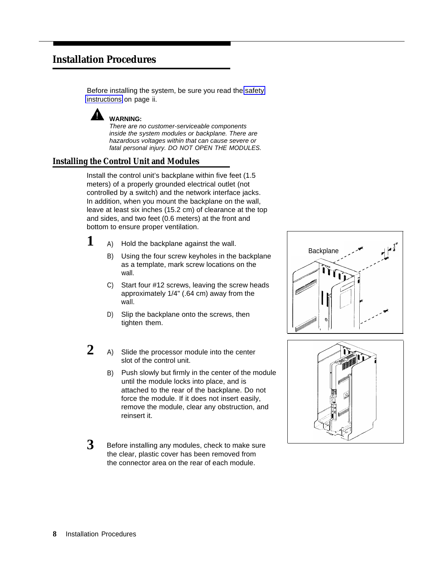# <span id="page-11-0"></span>**Installation Procedures**

Before installing the system, be sure you read the [safety](#page-3-1) [instructions](#page-3-1) on page ii.



There are no customer-serviceable components inside the system modules or backplane. There are hazardous voltages within that can cause severe or fatal personal injury. DO NOT OPEN THE MODULES.

# <span id="page-11-1"></span>**Installing the Control Unit and Modules**

Install the control unit's backplane within five feet (1.5 meters) of a properly grounded electrical outlet (not controlled by a switch) and the network interface jacks. In addition, when you mount the backplane on the wall, leave at least six inches (15.2 cm) of clearance at the top and sides, and two feet (0.6 meters) at the front and bottom to ensure proper ventilation.

- **1** A) A) Hold the backplane against the wall.
	- B) Using the four screw keyholes in the backplane as a template, mark screw locations on the wall.
	- C) Start four #12 screws, leaving the screw heads approximately 1/4" (.64 cm) away from the wall.
	- D) Slip the backplane onto the screws, then tighten them.
- **2** A) Slide the processor module into the center slot of the control unit.
	- B) Push slowly but firmly in the center of the module until the module locks into place, and is attached to the rear of the backplane. Do not force the module. If it does not insert easily, remove the module, clear any obstruction, and reinsert it.
- **3** Before installing any modules, check to make sure the clear, plastic cover has been removed from the connector area on the rear of each module.



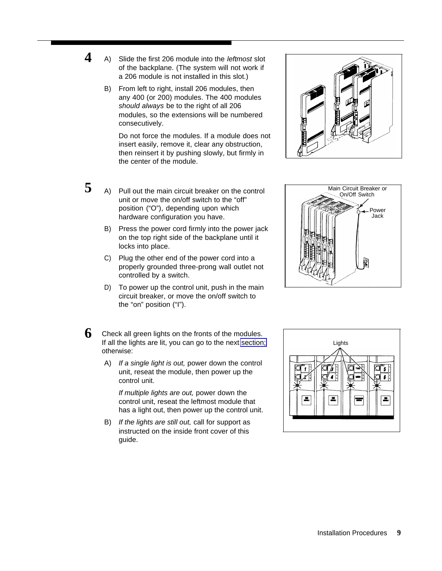- **4** A) A) Slide the first 206 module into the *leftmost* slot of the backplane. (The system will not work if a 206 module is not installed in this slot.)
	- B) From left to right, install 206 modules, then any 400 (or 200) modules. The 400 modules should always be to the right of all 206 modules, so the extensions will be numbered consecutively.

Do not force the modules. If a module does not insert easily, remove it, clear any obstruction, then reinsert it by pushing slowly, but firmly in the center of the module.

- **5** A) Pull out the main circuit breaker on the control unit or move the on/off switch to the "off" position ("O"), depending upon which hardware configuration you have.
	- B) Press the power cord firmly into the power jack on the top right side of the backplane until it locks into place.
	- C) Plug the other end of the power cord into a properly grounded three-prong wall outlet not controlled by a switch.
	- D) To power up the control unit, push in the main circuit breaker, or move the on/off switch to the "on" position ("I").
- **6** Check all green lights on the fronts of the modules. If all the lights are lit, you can go to the next [section;](#page-13-1) otherwise:
	- A) If a single light is out, power down the control unit, reseat the module, then power up the control unit.

If multiple lights are out, power down the control unit, reseat the leftmost module that has a light out, then power up the control unit.

B) If the lights are still out, call for support as instructed on the inside front cover of this guide.





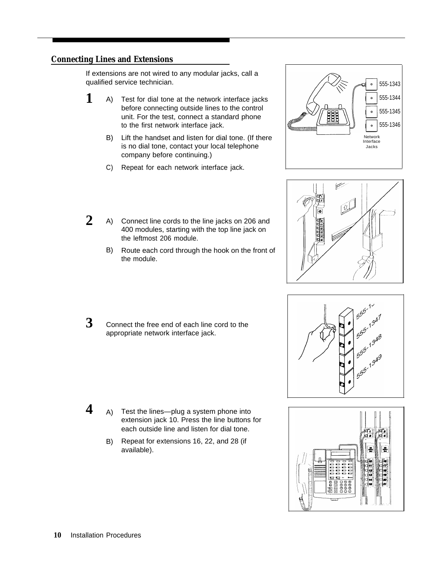## <span id="page-13-1"></span><span id="page-13-0"></span>**Connecting Lines and Extensions**

If extensions are not wired to any modular jacks, call a qualified service technician.

- **1** A) Test for dial tone at the network interface jacks before connecting outside lines to the control unit. For the test, connect a standard phone to the first network interface jack.
	- B) Lift the handset and listen for dial tone. (If there is no dial tone, contact your local telephone company before continuing.)
	- C) Repeat for each network interface jack.
- **2** A) Connect line cords to the line jacks on 206 and 400 modules, starting with the top line jack on the leftmost 206 module.
	- B) Route each cord through the hook on the front of the module.
- **3** Connect the free end of each line cord to the appropriate network interface jack.

- **4** A) Test the lines—plug a system phone into extension jack 10. Press the line buttons for each outside line and listen for dial tone.
	- B) Repeat for extensions 16, 22, and 28 (if available).







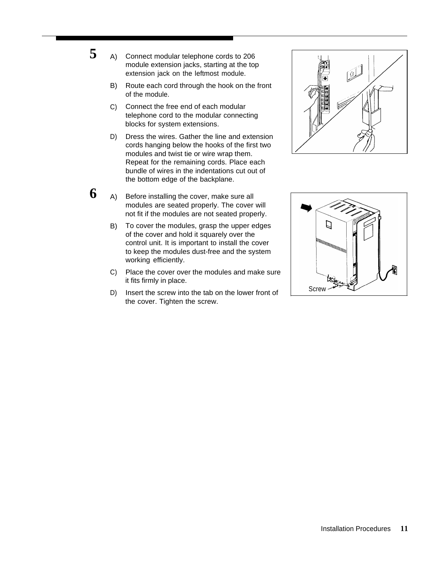Connect modular telephone cords to 206 module extension jacks, starting at the top extension jack on the leftmost module.

**5** A)

- B) Route each cord through the hook on the front of the module.
- C) Connect the free end of each modular telephone cord to the modular connecting blocks for system extensions.
- D) Dress the wires. Gather the line and extension cords hanging below the hooks of the first two modules and twist tie or wire wrap them. Repeat for the remaining cords. Place each bundle of wires in the indentations cut out of the bottom edge of the backplane.
- **6** A) Before installing the cover, make sure all modules are seated properly. The cover will not fit if the modules are not seated properly.
	- B) To cover the modules, grasp the upper edges of the cover and hold it squarely over the control unit. It is important to install the cover to keep the modules dust-free and the system working efficiently.
	- C) Place the cover over the modules and make sure it fits firmly in place.
	- D) Insert the screw into the tab on the lower front of the cover. Tighten the screw.



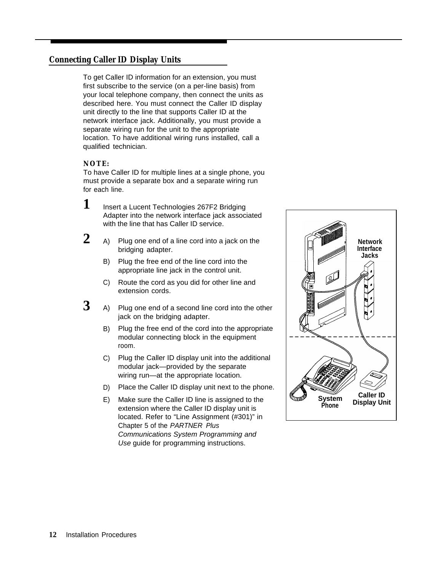## <span id="page-15-0"></span>**Connecting Caller ID Display Units**

To get Caller ID information for an extension, you must first subscribe to the service (on a per-line basis) from your local telephone company, then connect the units as described here. You must connect the Caller ID display unit directly to the line that supports Caller ID at the network interface jack. Additionally, you must provide a separate wiring run for the unit to the appropriate location. To have additional wiring runs installed, call a qualified technician.

#### **NOTE:**

To have Caller ID for multiple lines at a single phone, you must provide a separate box and a separate wiring run for each line.

- **1** Insert a Lucent Technologies 267F2 Bridging Adapter into the network interface jack associated with the line that has Caller ID service.
- 2 A) Plug one end of a line cord into a jack on the bridging adapter.
	- B) Plug the free end of the line cord into the appropriate line jack in the control unit.
	- C) Route the cord as you did for other line and extension cords.
- **3** A) A) Plug one end of a second line cord into the other jack on the bridging adapter.
	- B) Plug the free end of the cord into the appropriate modular connecting block in the equipment room.
	- C) Plug the Caller ID display unit into the additional modular jack—provided by the separate wiring run—at the appropriate location.
	- D) Place the Caller ID display unit next to the phone.
	- E) Make sure the Caller ID line is assigned to the extension where the Caller ID display unit is located. Refer to "Line Assignment (#301)" in Chapter 5 of the PARTNER Plus Communications System Programming and Use guide for programming instructions.

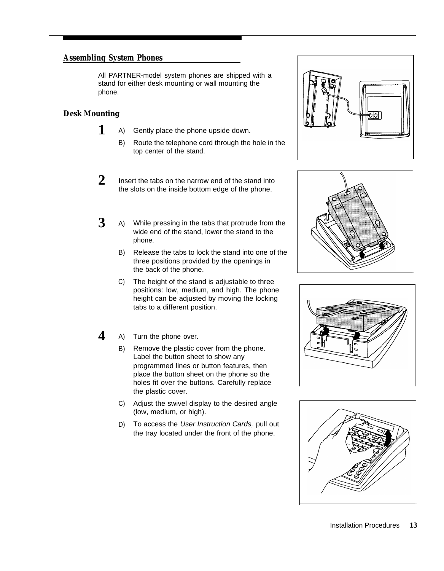## <span id="page-16-0"></span>**Assembling System Phones**

All PARTNER-model system phones are shipped with a phone. stand for either desk mounting or wall mounting the

### <span id="page-16-1"></span>**Desk Mounting**

**1**

- A) Gently place the phone upside down.
	- B) Route the telephone cord through the hole in the top center of the stand.
- **2** Insert the tabs on the narrow end of the stand into the slots on the inside bottom edge of the phone.
- **3** A) While pressing in the tabs that protrude from the wide end of the stand, lower the stand to the phone.
	- B) Release the tabs to lock the stand into one of the three positions provided by the openings in the back of the phone.
	- C) The height of the stand is adjustable to three positions: low, medium, and high. The phone height can be adjusted by moving the locking tabs to a different position.
- **4** A) Turn the phone over.
	- B) Remove the plastic cover from the phone. Label the button sheet to show any programmed lines or button features, then place the button sheet on the phone so the holes fit over the buttons. Carefully replace the plastic cover.
	- C) Adjust the swivel display to the desired angle (low, medium, or high).
	- D) To access the User Instruction Cards, pull out the tray located under the front of the phone.







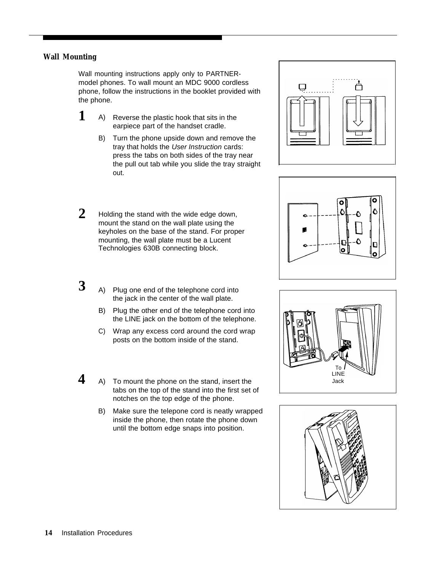#### <span id="page-17-0"></span>**Wall Mounting**

Wall mounting instructions apply only to PARTNERmodel phones. To wall mount an MDC 9000 cordless phone, follow the instructions in the booklet provided with the phone.

- **1** A) Reverse the plastic hook that sits in the earpiece part of the handset cradle.
	- B) Turn the phone upside down and remove the tray that holds the User Instruction cards: press the tabs on both sides of the tray near the pull out tab while you slide the tray straight out.
- **2** Holding the stand with the wide edge down, mount the stand on the wall plate using the keyholes on the base of the stand. For proper mounting, the wall plate must be a Lucent Technologies 630B connecting block.





To I<br>LINE Jack



- Plug one end of the telephone cord into the jack in the center of the wall plate.
- B) Plug the other end of the telephone cord into the LINE jack on the bottom of the telephone.
- C) Wrap any excess cord around the cord wrap posts on the bottom inside of the stand.
- **4** A) To mount the phone on the stand, insert the **Allian Contact Allian Contact A** tabs on the top of the stand into the first set of notches on the top edge of the phone.
	- B) Make sure the telepone cord is neatly wrapped inside the phone, then rotate the phone down until the bottom edge snaps into position.

**3** A)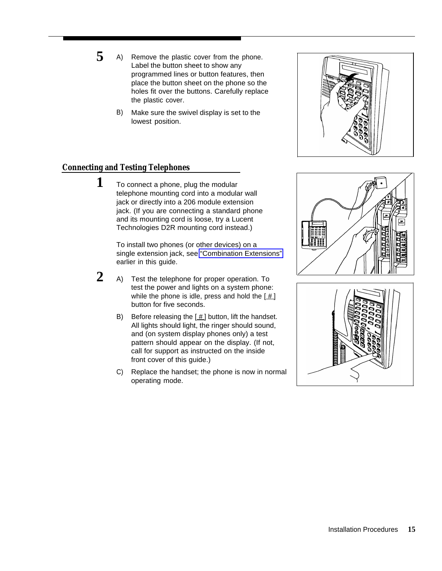- 5 A) Remove the plastic cover from the phone. Label the button sheet to show any programmed lines or button features, then place the button sheet on the phone so the holes fit over the buttons. Carefully replace the plastic cover.
	- B) Make sure the swivel display is set to the lowest position.

# <span id="page-18-0"></span>**Connecting and Testing Telephones**

**1** To connect a phone, plug the modular telephone mounting cord into a modular wall jack or directly into a 206 module extension jack. (If you are connecting a standard phone and its mounting cord is loose, try a Lucent Technologies D2R mounting cord instead.)

> To install two phones (or other devices) on a single extension jack, see ["Combination Extensions"](#page-9-1) earlier in this guide.

- $2_{\scriptscriptstyle\rm{A}}$ Test the telephone for proper operation. To test the power and lights on a system phone: while the phone is idle, press and hold the  $[\,\underline{\#}\,]$ button for five seconds.
	- B) Before releasing the  $[$   $\#$ ] button, lift the handset. All lights should light, the ringer should sound, and (on system display phones only) a test pattern should appear on the display. (If not, call for support as instructed on the inside front cover of this guide.)
	- C) Replace the handset; the phone is now in normal operating mode.





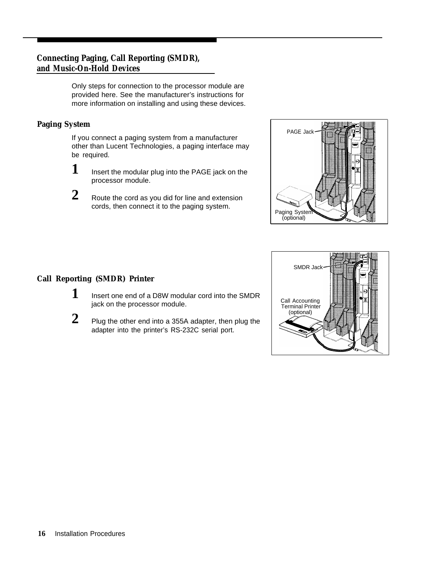# <span id="page-19-0"></span>**Connecting Paging, Call Reporting (SMDR), and Music-On-Hold Devices**

Only steps for connection to the processor module are provided here. See the manufacturer's instructions for more information on installing and using these devices.

## <span id="page-19-1"></span>**Paging System**

If you connect a paging system from a manufacturer other than Lucent Technologies, a paging interface may be required.

- **1** Insert the modular plug into the PAGE jack on the processor module.
- **2** Route the cord as you did for line and extension cords, then connect it to the paging system.



# <span id="page-19-2"></span>**Call Reporting (SMDR) Printer**

- **1** Insert one end of a D8W modular cord into the SMDR jack on the processor module. The state of the processor module.
- 
- **2** Plug the other end into a 355A adapter, then plug the adapter into the printer's RS-232C serial port.

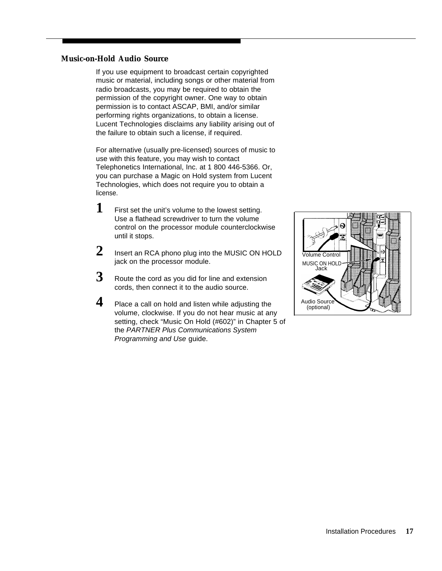#### <span id="page-20-1"></span><span id="page-20-0"></span>**Music-on-Hold Audio Source**

If you use equipment to broadcast certain copyrighted music or material, including songs or other material from radio broadcasts, you may be required to obtain the permission of the copyright owner. One way to obtain permission is to contact ASCAP, BMI, and/or similar performing rights organizations, to obtain a license. Lucent Technologies disclaims any liability arising out of the failure to obtain such a license, if required.

For alternative (usually pre-licensed) sources of music to use with this feature, you may wish to contact Telephonetics International, Inc. at 1 800 446-5366. Or, you can purchase a Magic on Hold system from Lucent Technologies, which does not require you to obtain a license.

- **1** First set the unit's volume to the lowest setting. Use a flathead screwdriver to turn the volume control on the processor module counterclockwise until it stops.
- **2** Insert an RCA phono plug into the MUSIC ON HOLD jack on the processor module.
- **3** Route the cord as you did for line and extension cords, then connect it to the audio source.
- **4** Place a call on hold and listen while adjusting the volume, clockwise. If you do not hear music at any setting, check "Music On Hold (#602)" in Chapter 5 of the PARTNER Plus Communications System Programming and Use guide.

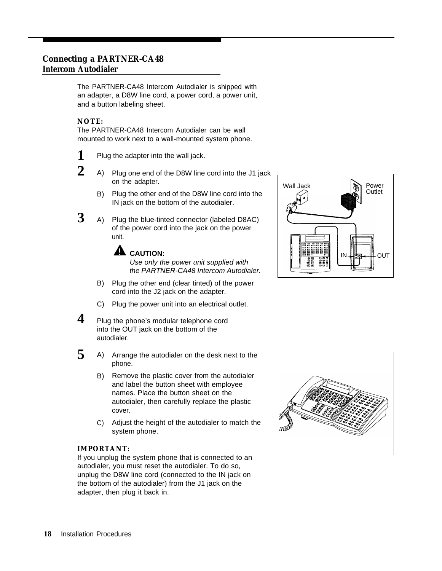## <span id="page-21-0"></span>**Connecting a PARTNER-CA48 Intercom Autodialer**

The PARTNER-CA48 Intercom Autodialer is shipped with an adapter, a D8W line cord, a power cord, a power unit, and a button labeling sheet.

#### **NOTE:**

The PARTNER-CA48 Intercom Autodialer can be wall mounted to work next to a wall-mounted system phone.

- **1** Plug the adapter into the wall jack.
- **2** A) Plug one end of the D8W line cord into the J1 jack on the adapter.
	- B) Plug the other end of the D8W line cord into the IN jack on the bottom of the autodialer.
- **3** A) Plug the blue-tinted connector (labeled D8AC) of the power cord into the jack on the power unit.

**A** CAUTION:

Use only the power unit supplied with the PARTNER-CA48 Intercom Autodialer.

- B) Plug the other end (clear tinted) of the power cord into the J2 jack on the adapter.
- C) Plug the power unit into an electrical outlet.
- **4** Plug the phone's modular telephone cord into the OUT jack on the bottom of the autodialer.
- **5** A) Arrange the autodialer on the desk next to the phone.
	- B) Remove the plastic cover from the autodialer and label the button sheet with employee names. Place the button sheet on the autodialer, then carefully replace the plastic cover.
	- C) Adjust the height of the autodialer to match the system phone.

#### **IMPORTANT:**

If you unplug the system phone that is connected to an autodialer, you must reset the autodialer. To do so, unplug the D8W line cord (connected to the IN jack on the bottom of the autodialer) from the J1 jack on the adapter, then plug it back in.



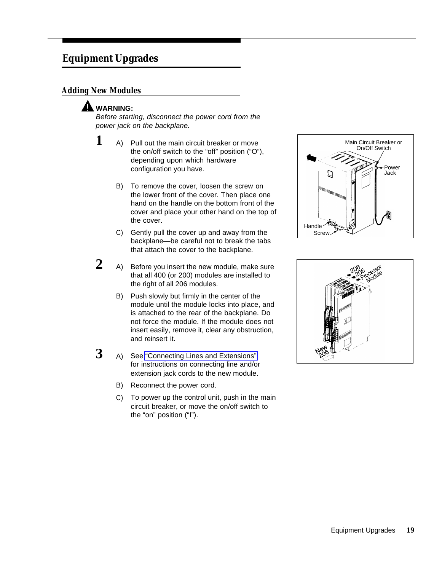# <span id="page-22-0"></span>**Equipment Upgrades**

# <span id="page-22-1"></span>**Adding New Modules**

# **A** WARNING:

Before starting, disconnect the power cord from the power jack on the backplane.

- $1$  A) Pull out the main circuit breaker or move the on/off switch to the "off" position ("O"), depending upon which hardware configuration you have.
	- B) To remove the cover, loosen the screw on the lower front of the cover. Then place one hand on the handle on the bottom front of the cover and place your other hand on the top of the cover.
	- C) Gently pull the cover up and away from the backplane—be careful not to break the tabs that attach the cover to the backplane.
- **2** A) Before you insert the new module, make sure that all 400 (or 200) modules are installed to the right of all 206 modules.
	- B) Push slowly but firmly in the center of the module until the module locks into place, and is attached to the rear of the backplane. Do not force the module. If the module does not insert easily, remove it, clear any obstruction, and reinsert it.
- **3** A) A) See ["Connecting Lines and Extensions"](#page-13-1) for instructions on connecting line and/or extension jack cords to the new module.
	- B) Reconnect the power cord.
	- C) To power up the control unit, push in the main circuit breaker, or move the on/off switch to the "on" position ("I").



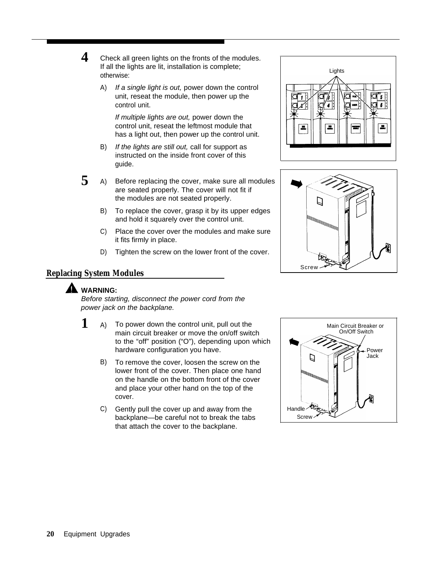A) If a single light is out, power down the control unit, reseat the module, then power up the control unit.

If multiple lights are out, power down the control unit, reseat the leftmost module that has a light out, then power up the control unit.

- B) If the lights are still out, call for support as instructed on the inside front cover of this guide.
- **5** A) Before replacing the cover, make sure all modules are seated properly. The cover will not fit if the modules are not seated properly.
	- B) To replace the cover, grasp it by its upper edges and hold it squarely over the control unit.
	- C) Place the cover over the modules and make sure it fits firmly in place.
	- D) Tighten the screw on the lower front of the cover.





## <span id="page-23-0"></span>**Replacing System Modules**

# **A** WARNING:

Before starting, disconnect the power cord from the power jack on the backplane.

- **1** A) To power down the control unit, pull out the main circuit breaker or move the on/off switch to the "off" position ("O"), depending upon which hardware configuration you have.
	- B) To remove the cover, loosen the screw on the lower front of the cover. Then place one hand on the handle on the bottom front of the cover and place your other hand on the top of the cover.
	- C) Gently pull the cover up and away from the backplane—be careful not to break the tabs that attach the cover to the backplane.

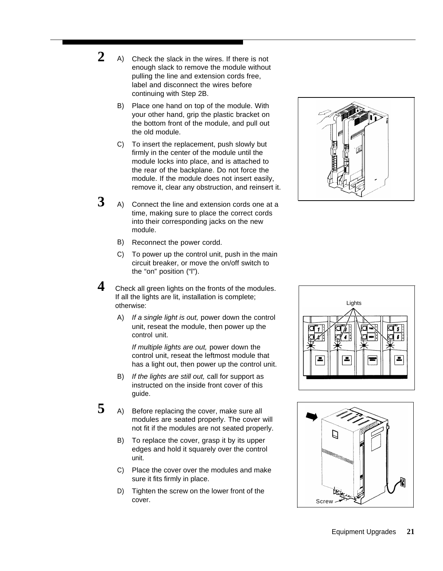- $\overline{2}$ Check the slack in the wires. If there is not enough slack to remove the module without pulling the line and extension cords free, label and disconnect the wires before continuing with Step 2B.
	- B) Place one hand on top of the module. With your other hand, grip the plastic bracket on the bottom front of the module, and pull out the old module.
	- C) To insert the replacement, push slowly but firmly in the center of the module until the module locks into place, and is attached to the rear of the backplane. Do not force the module. If the module does not insert easily, remove it, clear any obstruction, and reinsert it.
- **3** A) Connect the line and extension cords one at a time, making sure to place the correct cords into their corresponding jacks on the new module.
	- B) Reconnect the power cordd.
	- C) To power up the control unit, push in the main circuit breaker, or move the on/off switch to the "on" position ("l").
- **4** Check all green lights on the fronts of the modules. If all the lights are lit, installation is complete; otherwise:
	- A) If a single light is out, power down the control unit, reseat the module, then power up the control unit.

If multiple lights are out, power down the control unit, reseat the leftmost module that has a light out, then power up the control unit.

- B) If the lights are still out, call for support as instructed on the inside front cover of this guide.
- **5** A) Before replacing the cover, make sure all modules are seated properly. The cover will not fit if the modules are not seated properly.
	- B) To replace the cover, grasp it by its upper edges and hold it squarely over the control unit.
	- C) Place the cover over the modules and make sure it fits firmly in place.
	- D) Tighten the screw on the lower front of the cover.





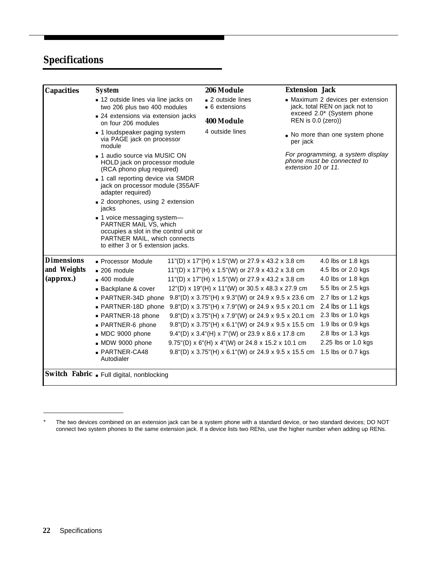# <span id="page-25-0"></span>**Specifications**

| <b>Capacities</b> | <b>System</b>                                                                                                                                                        |                   | 206 Module                                                                             |                                           | <b>Extension Jack</b>                                               |                     |  |
|-------------------|----------------------------------------------------------------------------------------------------------------------------------------------------------------------|-------------------|----------------------------------------------------------------------------------------|-------------------------------------------|---------------------------------------------------------------------|---------------------|--|
|                   | ■ 12 outside lines via line jacks on<br>two 206 plus two 400 modules                                                                                                 |                   | ■ 2 outside lines<br>• 6 extensions                                                    |                                           | • Maximum 2 devices per extension<br>jack, total REN on jack not to |                     |  |
|                   | ■ 24 extensions via extension jacks<br>on four 206 modules                                                                                                           | <b>400 Module</b> |                                                                                        |                                           | exceed 2.0* (System phone<br>REN is 0.0 (zero))                     |                     |  |
|                   | • 1 loudspeaker paging system<br>via PAGE jack on processor<br>module                                                                                                | 4 outside lines   |                                                                                        | No more than one system phone<br>per jack |                                                                     |                     |  |
|                   | ■ 1 audio source via MUSIC ON<br>HOLD jack on processor module<br>(RCA phono plug required)                                                                          |                   | For programming, a system display<br>phone must be connected to<br>extension 10 or 11. |                                           |                                                                     |                     |  |
|                   | - 1 call reporting device via SMDR<br>jack on processor module (355A/F<br>adapter required)                                                                          |                   |                                                                                        |                                           |                                                                     |                     |  |
|                   | ■ 2 doorphones, using 2 extension<br>jacks                                                                                                                           |                   |                                                                                        |                                           |                                                                     |                     |  |
|                   | • 1 voice messaging system-<br>PARTNER MAIL VS, which<br>occupies a slot in the control unit or<br>PARTNER MAIL, which connects<br>to either 3 or 5 extension jacks. |                   |                                                                                        |                                           |                                                                     |                     |  |
| <b>Dimensions</b> | - Processor Module                                                                                                                                                   |                   | 11"(D) x 17"(H) x 1.5"(W) or 27.9 x 43.2 x 3.8 cm                                      |                                           |                                                                     | 4.0 lbs or 1.8 kgs  |  |
| and Weights       | $-206$ module                                                                                                                                                        |                   | 11"(D) x 17"(H) x 1.5"(W) or 27.9 x 43.2 x 3.8 cm                                      |                                           |                                                                     | 4.5 lbs or 2.0 kgs  |  |
| (approx.)         | $-400$ module                                                                                                                                                        |                   | 11"(D) x 17"(H) x 1.5"(W) or 27.9 x 43.2 x 3.8 cm                                      |                                           |                                                                     | 4.0 lbs or 1.8 kgs  |  |
|                   | Backplane & cover                                                                                                                                                    |                   | 12"(D) x 19"(H) x 11"(W) or 30.5 x 48.3 x 27.9 cm                                      |                                           |                                                                     | 5.5 lbs or 2.5 kgs  |  |
|                   | - PARTNER-34D phone                                                                                                                                                  |                   | $9.8''(D) \times 3.75''(H) \times 9.3''(W)$ or 24.9 x 9.5 x 23.6 cm                    |                                           |                                                                     | 2.7 lbs or 1.2 kgs  |  |
|                   | - PARTNER-18D phone                                                                                                                                                  |                   | 9.8"(D) x 3.75"(H) x 7.9"(W) or 24.9 x 9.5 x 20.1 cm                                   |                                           |                                                                     | 2.4 lbs or 1.1 kgs  |  |
|                   | · PARTNER-18 phone                                                                                                                                                   |                   | 9.8"(D) x 3.75"(H) x 7.9"(W) or 24.9 x 9.5 x 20.1 cm                                   |                                           |                                                                     | 2.3 lbs or 1.0 kgs  |  |
|                   | • PARTNER-6 phone                                                                                                                                                    |                   | 9.8"(D) x 3.75"(H) x 6.1"(W) or 24.9 x 9.5 x 15.5 cm                                   |                                           |                                                                     | 1.9 lbs or 0.9 kgs  |  |
|                   | MDC 9000 phone                                                                                                                                                       |                   | 9.4"(D) x 3.4"(H) x 7"(W) or 23.9 x 8.6 x 17.8 cm                                      |                                           |                                                                     | 2.8 lbs or 1.3 kgs  |  |
|                   | MDW 9000 phone                                                                                                                                                       |                   | 9.75"(D) x 6"(H) x 4"(W) or 24.8 x 15.2 x 10.1 cm                                      |                                           |                                                                     | 2.25 lbs or 1.0 kgs |  |
|                   | - PARTNER-CA48                                                                                                                                                       |                   | 9.8"(D) x 3.75"(H) x 6.1"(W) or 24.9 x 9.5 x 15.5 cm 1.5 lbs or 0.7 kgs                |                                           |                                                                     |                     |  |

<sup>\*</sup> The two devices combined on an extension jack can be a system phone with a standard device, or two standard devices; DO NOT connect two system phones to the same extension jack. If a device lists two RENs, use the higher number when adding up RENs.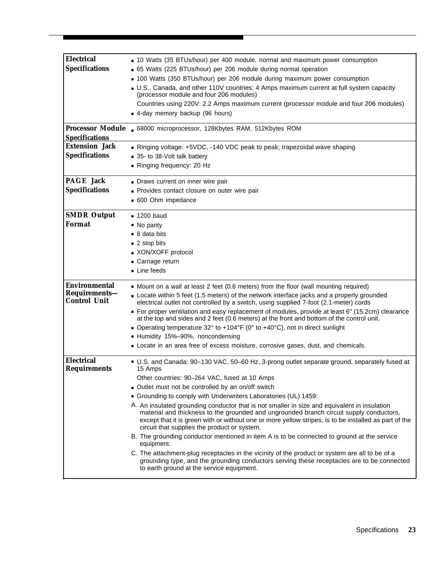<span id="page-26-0"></span>

| <b>Electrical</b><br><b>Specifications</b>                   | • 10 Watts (35 BTUs/hour) per 400 module, normal and maximum power consumption<br>• 65 Watts (225 BTUs/hour) per 206 module during normal operation<br>- 100 Watts (350 BTUs/hour) per 206 module during maximum power consumption<br>- U.S., Canada, and other 110V countries: 4 Amps maximum current at full system capacity<br>(processor module and four 206 modules)<br>Countries using 220V: 2.2 Amps maximum current (processor module and four 206 modules)<br>- 4-day memory backup (96 hours)                                                                                                                                                                                  |
|--------------------------------------------------------------|------------------------------------------------------------------------------------------------------------------------------------------------------------------------------------------------------------------------------------------------------------------------------------------------------------------------------------------------------------------------------------------------------------------------------------------------------------------------------------------------------------------------------------------------------------------------------------------------------------------------------------------------------------------------------------------|
|                                                              | Processor Module . 68000 microprocessor, 128Kbytes RAM, 512Kbytes ROM                                                                                                                                                                                                                                                                                                                                                                                                                                                                                                                                                                                                                    |
| <b>Specifications</b>                                        |                                                                                                                                                                                                                                                                                                                                                                                                                                                                                                                                                                                                                                                                                          |
| <b>Extension Jack</b>                                        | Ringing voltage: +5VDC, -140 VDC peak to peak; trapezoidal wave shaping                                                                                                                                                                                                                                                                                                                                                                                                                                                                                                                                                                                                                  |
| <b>Specifications</b>                                        | 35- to 38-Volt talk battery                                                                                                                                                                                                                                                                                                                                                                                                                                                                                                                                                                                                                                                              |
|                                                              | Ringing frequency: 20 Hz                                                                                                                                                                                                                                                                                                                                                                                                                                                                                                                                                                                                                                                                 |
| <b>PAGE Jack</b>                                             | Draws current on inner wire pair                                                                                                                                                                                                                                                                                                                                                                                                                                                                                                                                                                                                                                                         |
| <b>Specifications</b>                                        | - Provides contact closure on outer wire pair                                                                                                                                                                                                                                                                                                                                                                                                                                                                                                                                                                                                                                            |
|                                                              | ■ 600 Ohm impedance                                                                                                                                                                                                                                                                                                                                                                                                                                                                                                                                                                                                                                                                      |
| <b>SMDR Output</b>                                           | $-1200$ baud                                                                                                                                                                                                                                                                                                                                                                                                                                                                                                                                                                                                                                                                             |
| Format                                                       | $\blacksquare$ No parity                                                                                                                                                                                                                                                                                                                                                                                                                                                                                                                                                                                                                                                                 |
|                                                              | ■ 8 data bits                                                                                                                                                                                                                                                                                                                                                                                                                                                                                                                                                                                                                                                                            |
|                                                              | ■ 2 stop bits                                                                                                                                                                                                                                                                                                                                                                                                                                                                                                                                                                                                                                                                            |
|                                                              | - XON/XOFF protocol                                                                                                                                                                                                                                                                                                                                                                                                                                                                                                                                                                                                                                                                      |
|                                                              | Carriage return                                                                                                                                                                                                                                                                                                                                                                                                                                                                                                                                                                                                                                                                          |
|                                                              | • Line feeds                                                                                                                                                                                                                                                                                                                                                                                                                                                                                                                                                                                                                                                                             |
| <b>Environmental</b><br>Requirements-<br><b>Control Unit</b> | • Mount on a wall at least 2 feet (0.6 meters) from the floor (wall mounting required)<br>- Locate within 5 feet (1.5 meters) of the network interface jacks and a properly grounded<br>electrical outlet not controlled by a switch, using supplied 7-foot (2.1-meter) cords<br>• For proper ventilation and easy replacement of modules, provide at least 6" (15.2cm) clearance<br>at the top and sides and 2 feet (0.6 meters) at the front and bottom of the control unit.<br>• Operating temperature 32° to +104°F (0° to +40°C), not in direct sunlight<br>- Humidity 15%-90%, noncondensing<br>- Locate in an area free of excess moisture, corrosive gases, dust, and chemicals. |
| <b>Electrical</b>                                            | U.S. and Canada: 90-130 VAC, 50-60 Hz, 3-prong outlet separate ground, separately fused at                                                                                                                                                                                                                                                                                                                                                                                                                                                                                                                                                                                               |
| <b>Requirements</b>                                          | 15 Amps                                                                                                                                                                                                                                                                                                                                                                                                                                                                                                                                                                                                                                                                                  |
|                                                              | Other countries: 90-264 VAC, fused at 10 Amps                                                                                                                                                                                                                                                                                                                                                                                                                                                                                                                                                                                                                                            |
|                                                              | • Outlet must not be controlled by an on/off switch                                                                                                                                                                                                                                                                                                                                                                                                                                                                                                                                                                                                                                      |
|                                                              | Grounding to comply with Underwriters Laboratories (UL) 1459:                                                                                                                                                                                                                                                                                                                                                                                                                                                                                                                                                                                                                            |
|                                                              | A. An insulated grounding conductor that is not smaller in size and equivalent in insulation<br>material and thickness to the grounded and ungrounded branch circuit supply conductors,<br>except that it is green with or without one or more yellow stripes, is to be installed as part of the<br>circuit that supplies the product or system.                                                                                                                                                                                                                                                                                                                                         |
|                                                              | B. The grounding conductor mentioned in item A is to be connected to ground at the service<br>equipment.                                                                                                                                                                                                                                                                                                                                                                                                                                                                                                                                                                                 |
|                                                              | C. The attachment-plug receptacles in the vicinity of the product or system are all to be of a<br>grounding type, and the grounding conductors serving these receptacles are to be connected<br>to earth ground at the service equipment.                                                                                                                                                                                                                                                                                                                                                                                                                                                |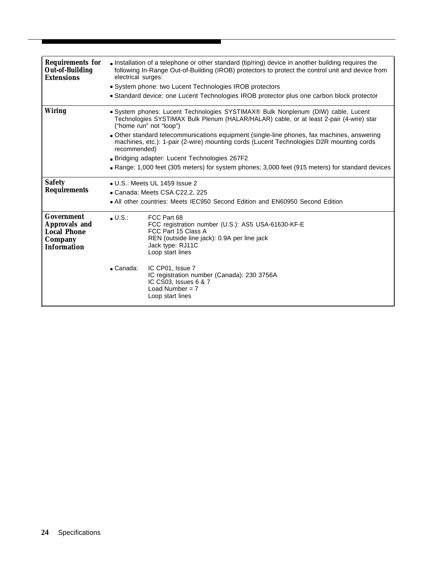<span id="page-27-0"></span>

| <b>Requirements for</b><br><b>Out-of-Building</b><br><b>Extensions</b>                    | Installation of a telephone or other standard (tip/ring) device in another building requires the<br>following In-Range Out-of-Building (IROB) protectors to protect the control unit and device from<br>electrical surges:<br>• System phone: two Lucent Technologies IROB protectors<br>• Standard device: one Lucent Technologies IROB protector plus one carbon block protector                                                                                                                                                                              |                                                                                                                                                                                 |  |  |  |
|-------------------------------------------------------------------------------------------|-----------------------------------------------------------------------------------------------------------------------------------------------------------------------------------------------------------------------------------------------------------------------------------------------------------------------------------------------------------------------------------------------------------------------------------------------------------------------------------------------------------------------------------------------------------------|---------------------------------------------------------------------------------------------------------------------------------------------------------------------------------|--|--|--|
| <b>Wiring</b>                                                                             | System phones: Lucent Technologies SYSTIMAX® Bulk Nonplenum (DIW) cable, Lucent<br>Technologies SYSTIMAX Bulk Plenum (HALAR/HALAR) cable, or at least 2-pair (4-wire) star<br>("home run" not "loop")<br>- Other standard telecommunications equipment (single-line phones, fax machines, answering<br>machines, etc.): 1-pair (2-wire) mounting cords (Lucent Technologies D2R mounting cords<br>recommended)<br>Bridging adapter: Lucent Technologies 267F2<br>Range: 1,000 feet (305 meters) for system phones; 3,000 feet (915 meters) for standard devices |                                                                                                                                                                                 |  |  |  |
| <b>Safety</b><br><b>Requirements</b>                                                      | $\blacksquare$ U.S.: Meets UL 1459 Issue 2<br>Canada: Meets CSA C22.2. 225<br>• All other countries: Meets IEC950 Second Edition and EN60950 Second Edition                                                                                                                                                                                                                                                                                                                                                                                                     |                                                                                                                                                                                 |  |  |  |
| <b>Government</b><br>Approvals and<br><b>Local Phone</b><br>Company<br><b>Information</b> | $\blacksquare$ U.S.:                                                                                                                                                                                                                                                                                                                                                                                                                                                                                                                                            | FCC Part 68<br>FCC registration number (U.S.): AS5 USA-61630-KF-E<br>FCC Part 15 Class A<br>REN (outside line jack): 0.9A per line jack<br>Jack type: RJ11C<br>Loop start lines |  |  |  |
|                                                                                           | $\_$ Canada:                                                                                                                                                                                                                                                                                                                                                                                                                                                                                                                                                    | IC CP01. Issue 7<br>IC registration number (Canada): 230 3756A<br>IC CS03, Issues 6 & 7<br>Load Number = $7$<br>Loop start lines                                                |  |  |  |